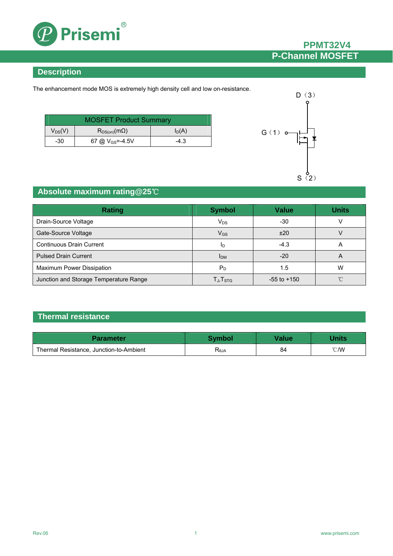

# **PPMT32V4 P-Channel MOSFET**

# **Description**

The enhancement mode MOS is extremely high density cell and low on-resistance.

| <b>MOSFET Product Summary</b> |                       |          |  |
|-------------------------------|-----------------------|----------|--|
| $V_{DS}(V)$                   | $R_{DS(on)}(m\Omega)$ | $I_D(A)$ |  |
| -30                           | 67 @ $V_{GS} = -4.5V$ | $-4.3$   |  |



### **Absolute maximum rating@25**℃

| Rating                                 | <b>Symbol</b>          | <b>Value</b>    | <b>Units</b> |
|----------------------------------------|------------------------|-----------------|--------------|
| Drain-Source Voltage                   | $V_{DS}$               | -30             |              |
| Gate-Source Voltage                    | $V_{GS}$               | ±20             |              |
| <b>Continuous Drain Current</b>        | ID                     | $-4.3$          | A            |
| <b>Pulsed Drain Current</b>            | <b>I</b> <sub>DM</sub> | $-20$           | A            |
| Maximum Power Dissipation              | $P_D$                  | 1.5             | W            |
| Junction and Storage Temperature Range | $T_{J}$ , $T_{STG}$    | $-55$ to $+150$ | $\gamma$     |

# **Thermal resistance**

| Parameter                               | Svmbol         | <b>Value</b> | Jnits          |
|-----------------------------------------|----------------|--------------|----------------|
| Thermal Resistance, Junction-to-Ambient | $R_{\theta$ JA | 84           | $^{\circ}$ C/W |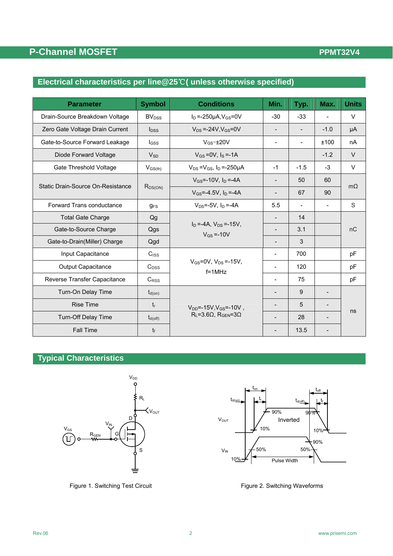# **P-Channel MOSFET**

## **PPMT32V4**

### **Electrical characteristics per line@25**℃**( unless otherwise specified)**

| <b>Parameter</b>                    | <b>Symbol</b>       | <b>Conditions</b>                                  |                          | Typ.                     | Max.                     | <b>Units</b> |  |
|-------------------------------------|---------------------|----------------------------------------------------|--------------------------|--------------------------|--------------------------|--------------|--|
| Drain-Source Breakdown Voltage      | BV <sub>DSS</sub>   | $I_D = -250 \mu A$ , $V_{GS} = 0V$                 | $-30$                    | $-33$                    | $\overline{\phantom{0}}$ | $\vee$       |  |
| Zero Gate Voltage Drain Current     | $I_{DSS}$           | $V_{DS} = -24V$ . $V_{GS} = 0V$                    | $\blacksquare$           | $\overline{\phantom{0}}$ | $-1.0$                   | μA           |  |
| Gate-to-Source Forward Leakage      | lgss                | $V$ <sub>GS</sub> $=$ $\pm$ 20V                    | $\overline{\phantom{a}}$ | $\overline{\phantom{a}}$ | ±100                     | nA           |  |
| Diode Forward Voltage               | $V_{SD}$            | $V_{GS} = 0V$ , $I_S = -1A$                        |                          |                          | $-1.2$                   | $\vee$       |  |
| Gate Threshold Voltage              | $V_{GS(th)}$        | $V_{DS} = V_{GS}$ , $I_D = -250 \mu A$             | $-1$                     | $-1.5$                   | $-3$                     | V            |  |
|                                     |                     | $V_{GS}$ =-10V, $I_D$ =-4A                         | $\overline{\phantom{a}}$ | 50                       | 60                       |              |  |
| Static Drain-Source On-Resistance   | R <sub>DS(ON)</sub> | $V_{GS} = -4.5V$ , $I_D = -4A$                     | $\overline{\phantom{a}}$ | 67                       | 90                       | $m\Omega$    |  |
| Forward Trans conductance           | $q_{FS}$            | $V_{DS} = -5V$ . In $= -4A$                        | 5.5                      |                          |                          | S            |  |
| <b>Total Gate Charge</b>            | Qg                  |                                                    | $\overline{\phantom{a}}$ | 14                       |                          |              |  |
| Gate-to-Source Charge               | Qgs                 | $I_D = -4A$ , $V_{DS} = -15V$ .<br>$V_{GS} = -10V$ |                          | 3.1                      |                          | nC           |  |
| Gate-to-Drain(Miller) Charge<br>Qgd |                     |                                                    |                          | 3                        |                          |              |  |
| Input Capacitance                   | C <sub>ISS</sub>    |                                                    |                          | 700                      |                          | pF           |  |
| <b>Output Capacitance</b>           | $C_{DSS}$           | $V_{GS} = 0V$ , $V_{DS} = -15V$ ,<br>$f = 1MHz$    |                          | 120                      |                          | pF           |  |
| Reverse Transfer Capacitance        | C <sub>RSS</sub>    |                                                    |                          | 75                       |                          | pF           |  |
| Turn-On Delay Time                  | $t_{d(on)}$         |                                                    |                          | 9                        |                          |              |  |
| <b>Rise Time</b>                    | $t_{r}$             | $V_{DD}$ =-15V, $V_{GS}$ =-10V,                    |                          | 5                        |                          | ns           |  |
| Turn-Off Delay Time                 | $t_{d(off)}$        | $R_L = 3.6 \Omega$ , $R_{GEN} = 3 \Omega$          |                          | 28                       |                          |              |  |
| <b>Fall Time</b>                    | $t_{\rm f}$         |                                                    |                          | 13.5                     |                          |              |  |

### **Typical Characteristics**





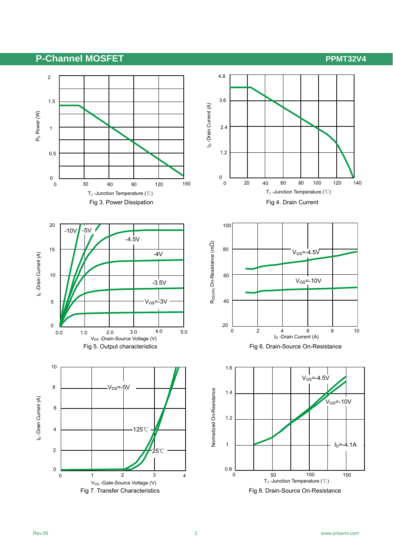# **P-Channel MOSFET** P-Channel ADSFET

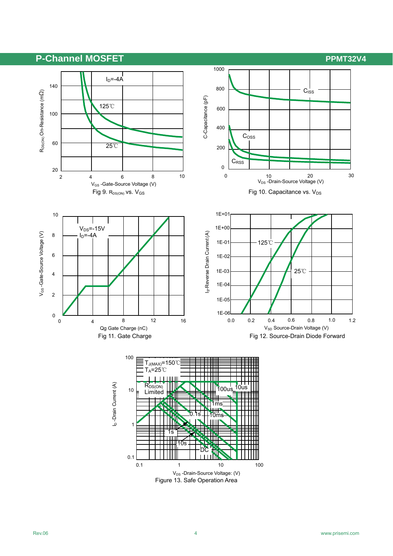# **P-Channel MOSFET** P-Channel ADSFET

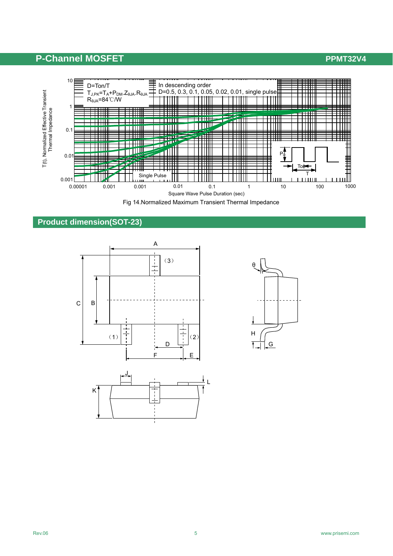# **P-Channel MOSFET P-Channel MOSFET**



Fig 14.Normalized Maximum Transient Thermal Impedance

# **Product dimension(SOT-23)**





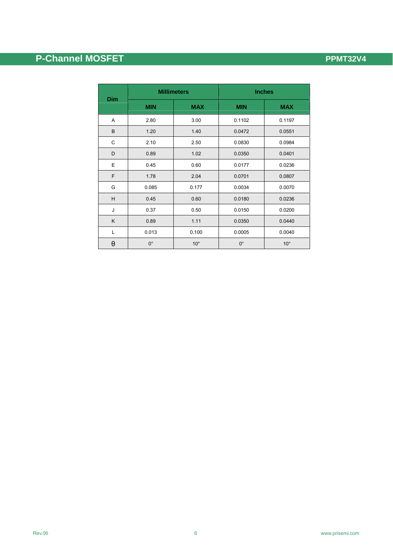# **P-Channel MOSFET P-Channel MOSFET**

|             | <b>Millimeters</b> |              | <b>Inches</b> |              |  |
|-------------|--------------------|--------------|---------------|--------------|--|
| <b>Dim</b>  | <b>MIN</b>         | <b>MAX</b>   | <b>MIN</b>    | <b>MAX</b>   |  |
| Α           | 2.80               | 3.00         | 0.1102        | 0.1197       |  |
| B           | 1.20               | 1.40         | 0.0472        | 0.0551       |  |
| $\mathsf C$ | 2.10               | 2.50         | 0.0830        | 0.0984       |  |
| D           | 0.89               | 1.02         | 0.0350        | 0.0401       |  |
| Ε           | 0.45               | 0.60         | 0.0177        | 0.0236       |  |
| F           | 1.78               | 2.04         | 0.0701        | 0.0807       |  |
| G           | 0.085              | 0.177        | 0.0034        | 0.0070       |  |
| H           | 0.45               | 0.60         | 0.0180        | 0.0236       |  |
| J           | 0.37               | 0.50         | 0.0150        | 0.0200       |  |
| K           | 0.89               | 1.11         | 0.0350        | 0.0440       |  |
| L           | 0.013              | 0.100        | 0.0005        | 0.0040       |  |
| θ           | $0^{\circ}$        | $10^{\circ}$ | $0^{\circ}$   | $10^{\circ}$ |  |